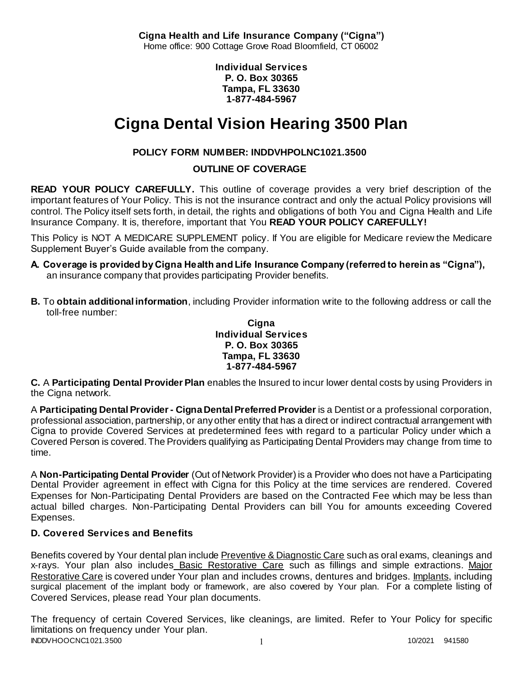**Cigna Health and Life Insurance Company ("Cigna")** Home office: 900 Cottage Grove Road Bloomfield, CT 06002

> **Individual Services P. O. Box 30365 Tampa, FL 33630 1-877-484-5967**

# **Cigna Dental Vision Hearing 3500 Plan**

# **POLICY FORM NUMBER: INDDVHPOLNC1021.3500**

# **OUTLINE OF COVERAGE**

**READ YOUR POLICY CAREFULLY.** This outline of coverage provides a very brief description of the important features of Your Policy. This is not the insurance contract and only the actual Policy provisions will control. The Policy itself sets forth, in detail, the rights and obligations of both You and Cigna Health and Life Insurance Company. It is, therefore, important that You **READ YOUR POLICY CAREFULLY!** 

This Policy is NOT A MEDICARE SUPPLEMENT policy. If You are eligible for Medicare review the Medicare Supplement Buyer's Guide available from the company.

- **A. Coverage is provided by Cigna Health and Life Insurance Company (referred to herein as "Cigna"),**  an insurance company that provides participating Provider benefits.
- **B.** To **obtain additional information**, including Provider information write to the following address or call the toll-free number:

#### **Cigna Individual Services P. O. Box 30365 Tampa, FL 33630 1-877-484-5967**

**C.** A **Participating Dental Provider Plan** enables the Insured to incur lower dental costs by using Providers in the Cigna network.

A **Participating Dental Provider - Cigna Dental Preferred Provider** is a Dentist or a professional corporation, professional association, partnership, or any other entity that has a direct or indirect contractual arrangement with Cigna to provide Covered Services at predetermined fees with regard to a particular Policy under which a Covered Person is covered. The Providers qualifying as Participating Dental Providers may change from time to time.

A **Non-Participating Dental Provider** (Out of Network Provider) is a Provider who does not have a Participating Dental Provider agreement in effect with Cigna for this Policy at the time services are rendered. Covered Expenses for Non-Participating Dental Providers are based on the Contracted Fee which may be less than actual billed charges. Non-Participating Dental Providers can bill You for amounts exceeding Covered Expenses.

# **D. Covered Services and Benefits**

Benefits covered by Your dental plan include Preventive & Diagnostic Care such as oral exams, cleanings and x-rays. Your plan also includes Basic Restorative Care such as fillings and simple extractions. Major Restorative Care is covered under Your plan and includes crowns, dentures and bridges. Implants, including surgical placement of the implant body or framework, are also covered by Your plan. For a complete listing of Covered Services, please read Your plan documents.

INDDVHOOCNC1021.3500 1 10/2021 941580 The frequency of certain Covered Services, like cleanings, are limited. Refer to Your Policy for specific limitations on frequency under Your plan.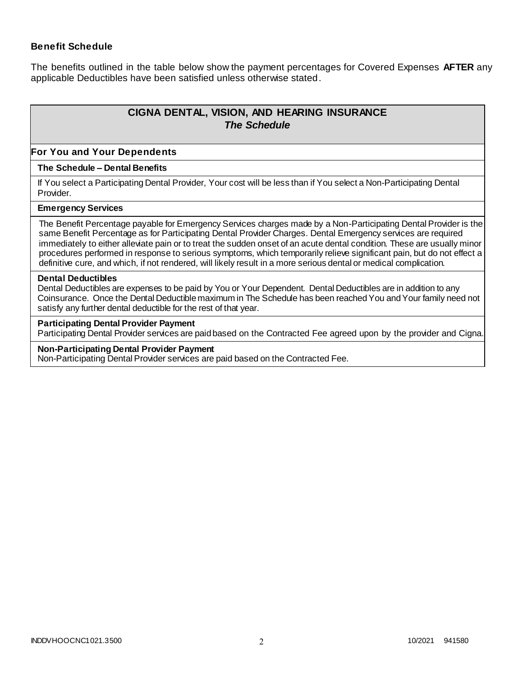#### **Benefit Schedule**

The benefits outlined in the table below show the payment percentages for Covered Expenses **AFTER** any applicable Deductibles have been satisfied unless otherwise stated.

# **CIGNA DENTAL, VISION, AND HEARING INSURANCE** *The Schedule*

#### **For You and Your Dependents**

#### **The Schedule – Dental Benefits**

If You select a Participating Dental Provider, Your cost will be less than if You select a Non-Participating Dental Provider.

#### **Emergency Services**

The Benefit Percentage payable for Emergency Services charges made by a Non-Participating Dental Provider is the same Benefit Percentage as for Participating Dental Provider Charges. Dental Emergency services are required immediately to either alleviate pain or to treat the sudden onset of an acute dental condition. These are usually minor procedures performed in response to serious symptoms, which temporarily relieve significant pain, but do not effect a definitive cure, and which, if not rendered, will likely result in a more serious dental or medical complication.

#### **Dental Deductibles**

Dental Deductibles are expenses to be paid by You or Your Dependent. Dental Deductibles are in addition to any Coinsurance. Once the Dental Deductible maximum in The Schedule has been reached You and Your family need not satisfy any further dental deductible for the rest of that year.

#### **Participating Dental Provider Payment**

Participating Dental Provider services are paid based on the Contracted Fee agreed upon by the provider and Cigna.

#### **Non-Participating Dental Provider Payment**

Non-Participating Dental Provider services are paid based on the Contracted Fee.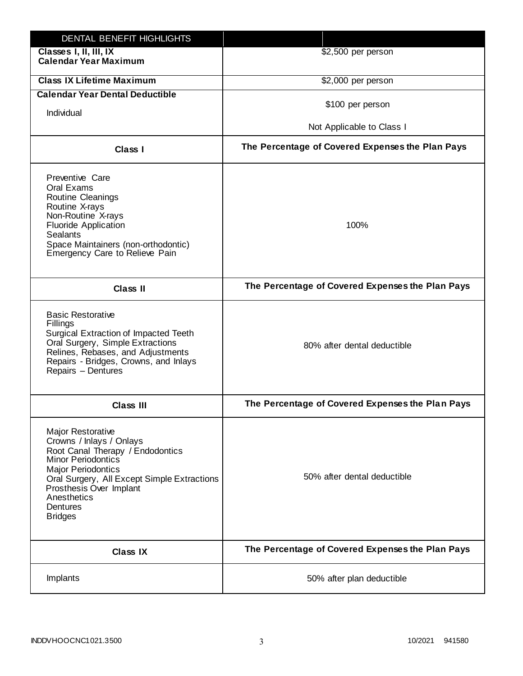| DENTAL BENEFIT HIGHLIGHTS                                                                                                                                                                                                                                                 |                                                  |
|---------------------------------------------------------------------------------------------------------------------------------------------------------------------------------------------------------------------------------------------------------------------------|--------------------------------------------------|
| Classes I, II, III, IX<br><b>Calendar Year Maximum</b>                                                                                                                                                                                                                    | \$2,500 per person                               |
| <b>Class IX Lifetime Maximum</b>                                                                                                                                                                                                                                          | \$2,000 per person                               |
| <b>Calendar Year Dental Deductible</b>                                                                                                                                                                                                                                    |                                                  |
| Individual                                                                                                                                                                                                                                                                | \$100 per person                                 |
|                                                                                                                                                                                                                                                                           | Not Applicable to Class I                        |
| Class I                                                                                                                                                                                                                                                                   | The Percentage of Covered Expenses the Plan Pays |
| Preventive Care<br>Oral Exams<br><b>Routine Cleanings</b><br>Routine X-rays<br>Non-Routine X-rays<br><b>Fluoride Application</b><br><b>Sealants</b><br>Space Maintainers (non-orthodontic)<br>Emergency Care to Relieve Pain                                              | 100%                                             |
| <b>Class II</b>                                                                                                                                                                                                                                                           | The Percentage of Covered Expenses the Plan Pays |
| <b>Basic Restorative</b><br>Fillings<br>Surgical Extraction of Impacted Teeth<br>Oral Surgery, Simple Extractions<br>Relines, Rebases, and Adjustments<br>Repairs - Bridges, Crowns, and Inlays<br>Repairs - Dentures                                                     | 80% after dental deductible                      |
| <b>Class III</b>                                                                                                                                                                                                                                                          | The Percentage of Covered Expenses the Plan Pays |
| <b>Major Restorative</b><br>Crowns / Inlays / Onlays<br>Root Canal Therapy / Endodontics<br><b>Minor Periodontics</b><br><b>Major Periodontics</b><br>Oral Surgery, All Except Simple Extractions<br>Prosthesis Over Implant<br>Anesthetics<br>Dentures<br><b>Bridges</b> | 50% after dental deductible                      |
| <b>Class IX</b>                                                                                                                                                                                                                                                           | The Percentage of Covered Expenses the Plan Pays |
| Implants                                                                                                                                                                                                                                                                  | 50% after plan deductible                        |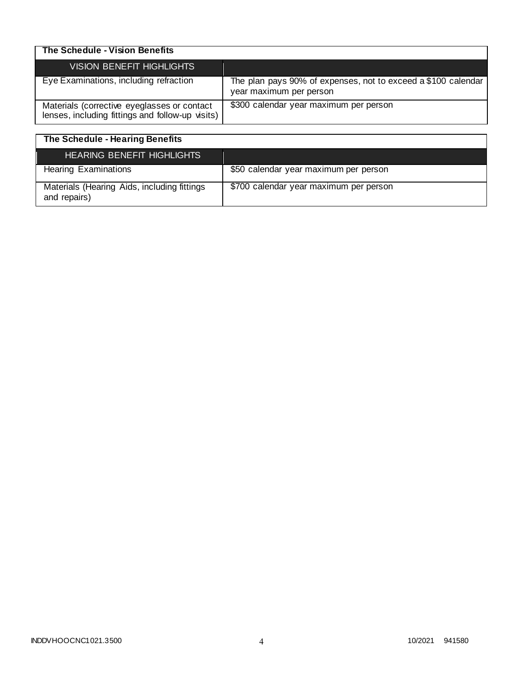| The Schedule - Vision Benefits                                                                  |                                                                                          |
|-------------------------------------------------------------------------------------------------|------------------------------------------------------------------------------------------|
| <b>VISION BENEFIT HIGHLIGHTS</b>                                                                |                                                                                          |
| Eye Examinations, including refraction                                                          | The plan pays 90% of expenses, not to exceed a \$100 calendar<br>year maximum per person |
| Materials (corrective eyeglasses or contact<br>lenses, including fittings and follow-up visits) | \$300 calendar year maximum per person                                                   |

| The Schedule - Hearing Benefits                             |                                        |
|-------------------------------------------------------------|----------------------------------------|
| <b>HEARING BENEFIT HIGHLIGHTS</b>                           |                                        |
| <b>Hearing Examinations</b>                                 | \$50 calendar year maximum per person  |
| Materials (Hearing Aids, including fittings<br>and repairs) | \$700 calendar year maximum per person |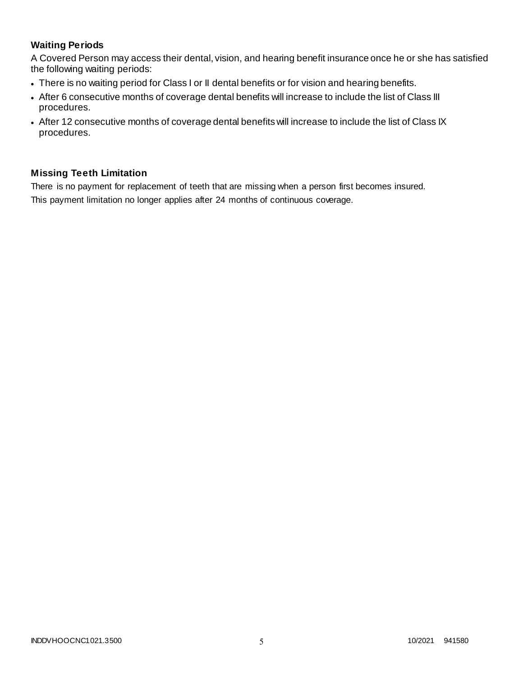# **Waiting Periods**

A Covered Person may access their dental, vision, and hearing benefit insurance once he or she has satisfied the following waiting periods:

- There is no waiting period for Class I or II dental benefits or for vision and hearing benefits.
- After 6 consecutive months of coverage dental benefits will increase to include the list of Class III procedures.
- After 12 consecutive months of coverage dental benefits will increase to include the list of Class IX procedures.

# **Missing Teeth Limitation**

There is no payment for replacement of teeth that are missing when a person first becomes insured. This payment limitation no longer applies after 24 months of continuous coverage.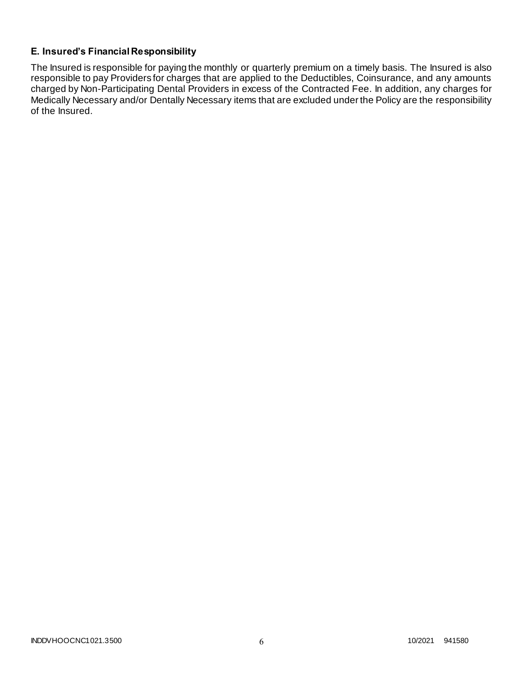# **E. Insured's Financial Responsibility**

The Insured is responsible for paying the monthly or quarterly premium on a timely basis. The Insured is also responsible to pay Providers for charges that are applied to the Deductibles, Coinsurance, and any amounts charged by Non-Participating Dental Providers in excess of the Contracted Fee. In addition, any charges for Medically Necessary and/or Dentally Necessary items that are excluded under the Policy are the responsibility of the Insured.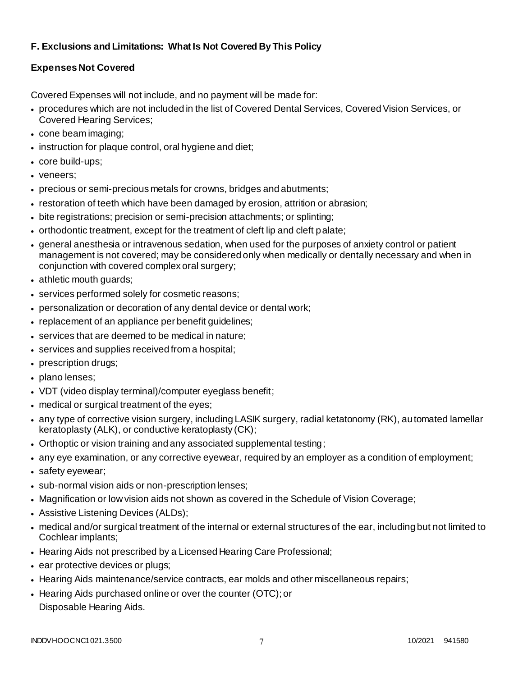# **F. Exclusions and Limitations: What Is Not Covered By This Policy**

# **Expenses Not Covered**

Covered Expenses will not include, and no payment will be made for:

- procedures which are not included in the list of Covered Dental Services, Covered Vision Services, or Covered Hearing Services;
- cone beam imaging;
- instruction for plaque control, oral hygiene and diet;
- core build-ups;
- veneers;
- precious or semi-precious metals for crowns, bridges and abutments;
- restoration of teeth which have been damaged by erosion, attrition or abrasion;
- bite registrations; precision or semi-precision attachments; or splinting;
- orthodontic treatment, except for the treatment of cleft lip and cleft palate;
- general anesthesia or intravenous sedation, when used for the purposes of anxiety control or patient management is not covered; may be considered only when medically or dentally necessary and when in conjunction with covered complex oral surgery;
- athletic mouth guards;
- services performed solely for cosmetic reasons;
- personalization or decoration of any dental device or dental work;
- replacement of an appliance per benefit guidelines;
- services that are deemed to be medical in nature;
- services and supplies received from a hospital;
- prescription drugs;
- plano lenses;
- VDT (video display terminal)/computer eyeglass benefit;
- medical or surgical treatment of the eyes;
- any type of corrective vision surgery, including LASIK surgery, radial ketatonomy (RK), automated lamellar keratoplasty (ALK), or conductive keratoplasty (CK);
- Orthoptic or vision training and any associated supplemental testing;
- any eye examination, or any corrective eyewear, required by an employer as a condition of employment;
- safety eyewear;
- sub-normal vision aids or non-prescription lenses;
- Magnification or low vision aids not shown as covered in the Schedule of Vision Coverage;
- Assistive Listening Devices (ALDs);
- medical and/or surgical treatment of the internal or external structures of the ear, including but not limited to Cochlear implants;
- Hearing Aids not prescribed by a Licensed Hearing Care Professional;
- ear protective devices or plugs;
- Hearing Aids maintenance/service contracts, ear molds and other miscellaneous repairs;
- Hearing Aids purchased online or over the counter (OTC); or Disposable Hearing Aids.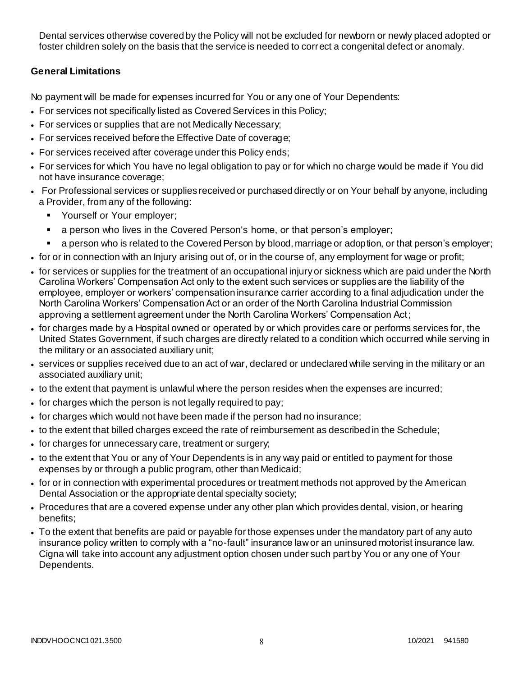Dental services otherwise covered by the Policy will not be excluded for newborn or newly placed adopted or foster children solely on the basis that the service is needed to correct a congenital defect or anomaly.

# **General Limitations**

No payment will be made for expenses incurred for You or any one of Your Dependents:

- For services not specifically listed as Covered Services in this Policy;
- For services or supplies that are not Medically Necessary;
- For services received before the Effective Date of coverage;
- For services received after coverage under this Policy ends;
- For services for which You have no legal obligation to pay or for which no charge would be made if You did not have insurance coverage;
- For Professional services or supplies received or purchased directly or on Your behalf by anyone, including a Provider, from any of the following:
	- **•** Yourself or Your employer;
	- a person who lives in the Covered Person's home, or that person's employer;
	- a person who is related to the Covered Person by blood, marriage or adoption, or that person's employer;
- for or in connection with an Injury arising out of, or in the course of, any employment for wage or profit;
- for services or supplies for the treatment of an occupational injury or sickness which are paid under the North Carolina Workers' Compensation Act only to the extent such services or supplies are the liability of the employee, employer or workers' compensation insurance carrier according to a final adjudication under the North Carolina Workers' Compensation Act or an order of the North Carolina Industrial Commission approving a settlement agreement under the North Carolina Workers' Compensation Act;
- for charges made by a Hospital owned or operated by or which provides care or performs services for, the United States Government, if such charges are directly related to a condition which occurred while serving in the military or an associated auxiliary unit;
- services or supplies received due to an act of war, declared or undeclared while serving in the military or an associated auxiliary unit;
- to the extent that payment is unlawful where the person resides when the expenses are incurred;
- for charges which the person is not legally required to pay;
- for charges which would not have been made if the person had no insurance;
- to the extent that billed charges exceed the rate of reimbursement as described in the Schedule;
- for charges for unnecessary care, treatment or surgery;
- to the extent that You or any of Your Dependents is in any way paid or entitled to payment for those expenses by or through a public program, other than Medicaid;
- for or in connection with experimental procedures or treatment methods not approved by the American Dental Association or the appropriate dental specialty society;
- Procedures that are a covered expense under any other plan which provides dental, vision, or hearing benefits;
- To the extent that benefits are paid or payable for those expenses under the mandatory part of any auto insurance policy written to comply with a "no-fault" insurance law or an uninsured motorist insurance law. Cigna will take into account any adjustment option chosen under such part by You or any one of Your Dependents.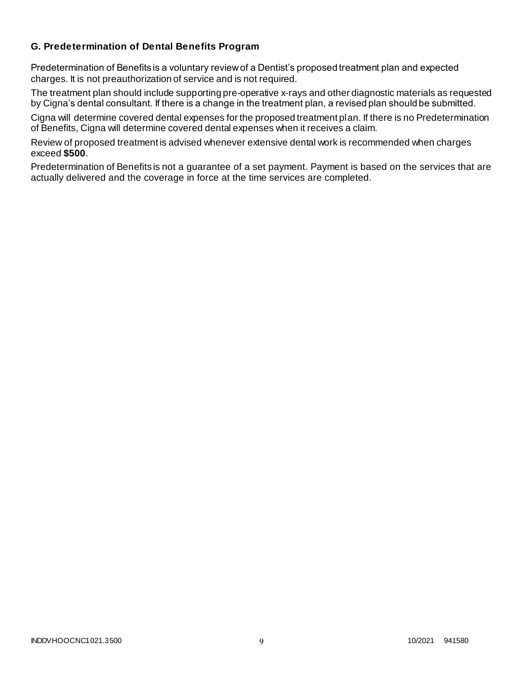### **G. Predetermination of Dental Benefits Program**

Predetermination of Benefits is a voluntary review of a Dentist's proposed treatment plan and expected charges. It is not preauthorization of service and is not required.

The treatment plan should include supporting pre-operative x-rays and other diagnostic materials as requested by Cigna's dental consultant. If there is a change in the treatment plan, a revised plan should be submitted.

Cigna will determine covered dental expenses for the proposed treatment plan. If there is no Predetermination of Benefits, Cigna will determine covered dental expenses when it receives a claim.

Review of proposed treatment is advised whenever extensive dental work is recommended when charges exceed **\$500**.

Predetermination of Benefits is not a guarantee of a set payment. Payment is based on the services that are actually delivered and the coverage in force at the time services are completed.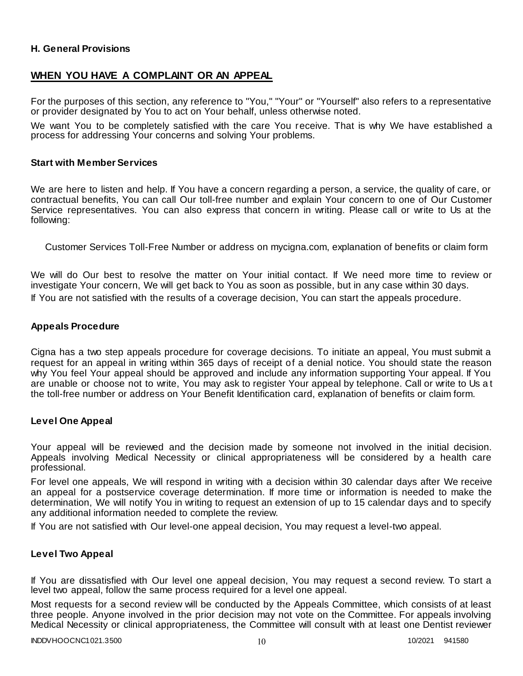### **H. General Provisions**

### **WHEN YOU HAVE A COMPLAINT OR AN APPEAL**

For the purposes of this section, any reference to "You," "Your" or "Yourself" also refers to a representative or provider designated by You to act on Your behalf, unless otherwise noted.

We want You to be completely satisfied with the care You receive. That is why We have established a process for addressing Your concerns and solving Your problems.

#### **Start with Member Services**

We are here to listen and help. If You have a concern regarding a person, a service, the quality of care, or contractual benefits, You can call Our toll-free number and explain Your concern to one of Our Customer Service representatives. You can also express that concern in writing. Please call or write to Us at the following:

Customer Services Toll-Free Number or address on mycigna.com, explanation of benefits or claim form

We will do Our best to resolve the matter on Your initial contact. If We need more time to review or investigate Your concern, We will get back to You as soon as possible, but in any case within 30 days. If You are not satisfied with the results of a coverage decision, You can start the appeals procedure.

#### **Appeals Procedure**

Cigna has a two step appeals procedure for coverage decisions. To initiate an appeal, You must submit a request for an appeal in writing within 365 days of receipt of a denial notice. You should state the reason why You feel Your appeal should be approved and include any information supporting Your appeal. If You are unable or choose not to write, You may ask to register Your appeal by telephone. Call or write to Us a t the toll-free number or address on Your Benefit Identification card, explanation of benefits or claim form.

#### **Level One Appeal**

Your appeal will be reviewed and the decision made by someone not involved in the initial decision. Appeals involving Medical Necessity or clinical appropriateness will be considered by a health care professional.

For level one appeals, We will respond in writing with a decision within 30 calendar days after We receive an appeal for a postservice coverage determination. If more time or information is needed to make the determination, We will notify You in writing to request an extension of up to 15 calendar days and to specify any additional information needed to complete the review.

If You are not satisfied with Our level-one appeal decision, You may request a level-two appeal.

#### **Level Two Appeal**

If You are dissatisfied with Our level one appeal decision, You may request a second review. To start a level two appeal, follow the same process required for a level one appeal.

Most requests for a second review will be conducted by the Appeals Committee, which consists of at least three people. Anyone involved in the prior decision may not vote on the Committee. For appeals involving Medical Necessity or clinical appropriateness, the Committee will consult with at least one Dentist reviewer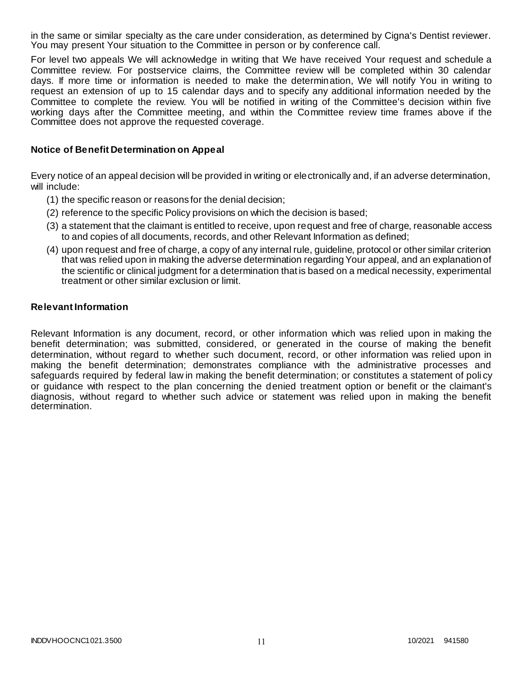in the same or similar specialty as the care under consideration, as determined by Cigna's Dentist reviewer. You may present Your situation to the Committee in person or by conference call.

For level two appeals We will acknowledge in writing that We have received Your request and schedule a Committee review. For postservice claims, the Committee review will be completed within 30 calendar days. If more time or information is needed to make the determination, We will notify You in writing to request an extension of up to 15 calendar days and to specify any additional information needed by the Committee to complete the review. You will be notified in writing of the Committee's decision within five working days after the Committee meeting, and within the Committee review time frames above if the Committee does not approve the requested coverage.

#### **Notice of Benefit Determination on Appeal**

Every notice of an appeal decision will be provided in writing or electronically and, if an adverse determination, will include:

- (1) the specific reason or reasons for the denial decision;
- (2) reference to the specific Policy provisions on which the decision is based;
- (3) a statement that the claimant is entitled to receive, upon request and free of charge, reasonable access to and copies of all documents, records, and other Relevant Information as defined;
- (4) upon request and free of charge, a copy of any internal rule, guideline, protocol or other similar criterion that was relied upon in making the adverse determination regarding Your appeal, and an explanation of the scientific or clinical judgment for a determination that is based on a medical necessity, experimental treatment or other similar exclusion or limit.

#### **Relevant Information**

Relevant Information is any document, record, or other information which was relied upon in making the benefit determination; was submitted, considered, or generated in the course of making the benefit determination, without regard to whether such document, record, or other information was relied upon in making the benefit determination; demonstrates compliance with the administrative processes and safeguards required by federal law in making the benefit determination; or constitutes a statement of poli cy or guidance with respect to the plan concerning the denied treatment option or benefit or the claimant's diagnosis, without regard to whether such advice or statement was relied upon in making the benefit determination.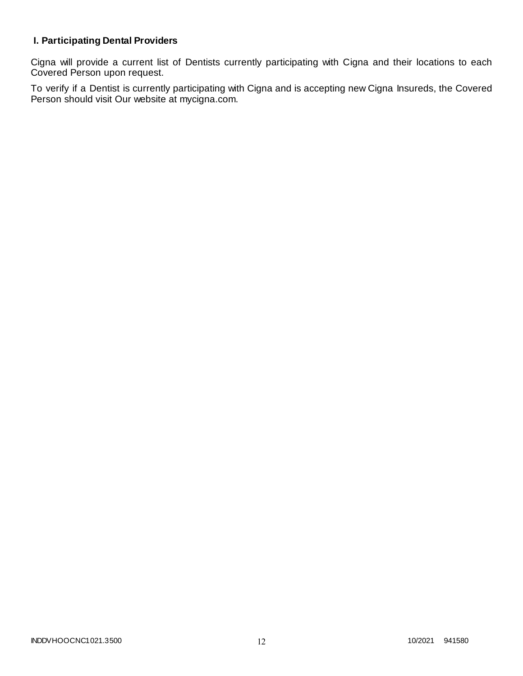# **I. Participating Dental Providers**

Cigna will provide a current list of Dentists currently participating with Cigna and their locations to each Covered Person upon request.

To verify if a Dentist is currently participating with Cigna and is accepting new Cigna Insureds, the Covered Person should visit Our website at mycigna.com.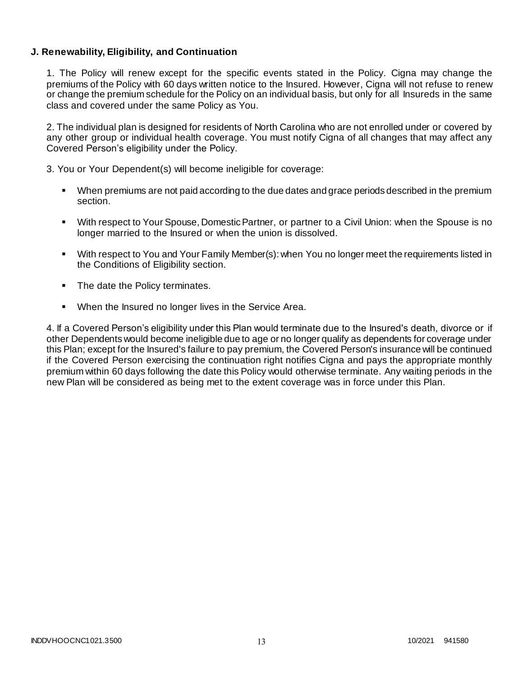### **J. Renewability, Eligibility, and Continuation**

1. The Policy will renew except for the specific events stated in the Policy. Cigna may change the premiums of the Policy with 60 days written notice to the Insured. However, Cigna will not refuse to renew or change the premium schedule for the Policy on an individual basis, but only for all Insureds in the same class and covered under the same Policy as You.

2. The individual plan is designed for residents of North Carolina who are not enrolled under or covered by any other group or individual health coverage. You must notify Cigna of all changes that may affect any Covered Person's eligibility under the Policy.

3. You or Your Dependent(s) will become ineligible for coverage:

- When premiums are not paid according to the due dates and grace periods described in the premium section.
- With respect to Your Spouse, Domestic Partner, or partner to a Civil Union: when the Spouse is no longer married to the Insured or when the union is dissolved.
- With respect to You and Your Family Member(s): when You no longer meet the requirements listed in the Conditions of Eligibility section.
- The date the Policy terminates.
- **When the Insured no longer lives in the Service Area.**

4. If a Covered Person's eligibility under this Plan would terminate due to the Insured's death, divorce or if other Dependents would become ineligible due to age or no longer qualify as dependents for coverage under this Plan; except for the Insured's failure to pay premium, the Covered Person's insurance will be continued if the Covered Person exercising the continuation right notifies Cigna and pays the appropriate monthly premium within 60 days following the date this Policy would otherwise terminate. Any waiting periods in the new Plan will be considered as being met to the extent coverage was in force under this Plan.